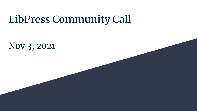# LibPress Community Call

Nov 3, 2021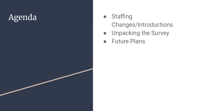## Agenda

- Staffing Changes/Introductions
- Unpacking the Survey
- Future Plans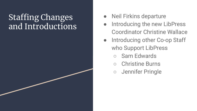#### Staffing Changes and Introductions<sup>1</sup>

- Neil Firkins departure
- Introducing the new LibPress Coordinator Christine Wallace
- Introducing other Co-op Staff who Support LibPress
	- Sam Edwards
	- **Christine Burns**
	- Jennifer Pringle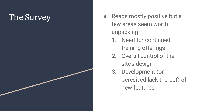### The Survey

- Reads mostly positive but a few areas seem worth unpacking
	- 1. Need for continued training offerings
	- 2. Overall control of the site's design
	- 3. Development (or perceived lack thereof) of new features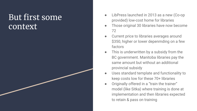#### But first some context

- LibPress launched in 2013 as a new (Co-op) provided) low-cost home for libraries
- Those original 30 libraries have now become 72
- Current price to libraries averages around \$350, higher or lower depenmding on a few factors
- This is underwritten by a subsidy from the BC government. Manitoba libraries pay the same amount but without an additional provincial subsidy
- Uses standard template and functionality to keep costs low for these 70+ libraries
- Originally offered in a "train the trainer" model (like Sitka) where training is done at implementation and then libraries expected to retain & pass on training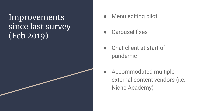Improvements since last survey (Feb 2019)

- Menu editing pilot
- Carousel fixes
- Chat client at start of pandemic
- Accommodated multiple external content vendors (i.e. Niche Academy)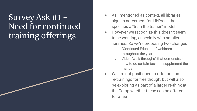#### Survey Ask #1 - Need for continued training offerings

- As I mentioned as context, all libraries sign an agreement for LibPress that specifies a "train the trainer" model
- However we recognize this doesn't seem to be working, especially with smaller libraries. So we're proposing two changes
	- "Continued Education" webinars throughout the year
	- Video "walk throughs" that demonstrate how to do certain tasks to supplement the manual
- We are not positioned to offer ad hoc re-trainings for free though, but will also be exploring as part of a larger re-think at the Co-op whether these can be offered for a fee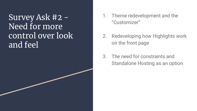Survey Ask #2 - Need for more control over look and feel

- 1. Theme redevelopment and the "Customizer"
- 2. Redeveloping how Highlights work on the front page
- 3. The need for constraints and Standalone Hosting as an option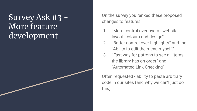Survey Ask #3 - More feature development

On the survey you ranked these proposed changes to features:

- 1. "More control over overall website layout, colours and design"
- 2. "Better control over highlights" and the "Ability to edit the menu myself,"
- 3. "Fast way for patrons to see all items the library has on-order" and "Automated Link Checking"

Often requested - ability to paste arbitrary code in our sites (and why we can't just do this)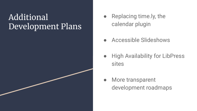#### Additional Development Plans

- Replacing time.ly, the calendar plugin
- Accessible Slideshows
- High Availability for LibPress sites
- More transparent development roadmaps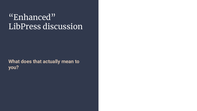#### "Enhanced" LibPress discussion

**What does that actually mean to you?**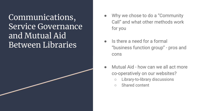Communications, Service Governance and Mutual Aid Between Libraries

- Why we chose to do a "Community" Call" and what other methods work for you
- Is there a need for a formal "business function group" - pros and cons
- Mutual Aid how can we all act more co-operatively on our websites?
	- Library-to-library discussions
	- Shared content